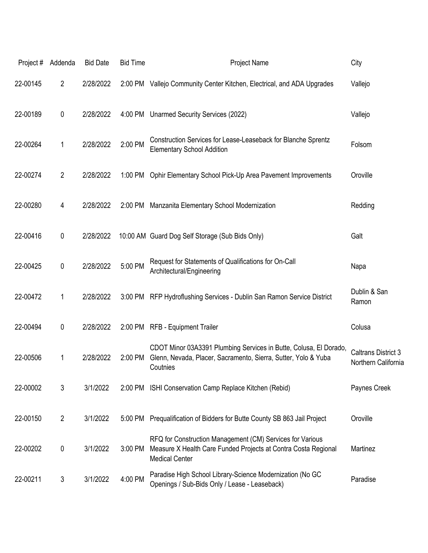| Project# | Addenda        | <b>Bid Date</b> | <b>Bid Time</b> | Project Name                                                                                                                                         | City                                              |
|----------|----------------|-----------------|-----------------|------------------------------------------------------------------------------------------------------------------------------------------------------|---------------------------------------------------|
| 22-00145 | 2              | 2/28/2022       |                 | 2:00 PM Vallejo Community Center Kitchen, Electrical, and ADA Upgrades                                                                               | Vallejo                                           |
| 22-00189 | 0              | 2/28/2022       |                 | 4:00 PM Unarmed Security Services (2022)                                                                                                             | Vallejo                                           |
| 22-00264 | 1              | 2/28/2022       | 2:00 PM         | Construction Services for Lease-Leaseback for Blanche Sprentz<br><b>Elementary School Addition</b>                                                   | Folsom                                            |
| 22-00274 | $\overline{2}$ | 2/28/2022       | 1:00 PM         | Ophir Elementary School Pick-Up Area Pavement Improvements                                                                                           | Oroville                                          |
| 22-00280 | 4              | 2/28/2022       |                 | 2:00 PM Manzanita Elementary School Modernization                                                                                                    | Redding                                           |
| 22-00416 | 0              | 2/28/2022       |                 | 10:00 AM Guard Dog Self Storage (Sub Bids Only)                                                                                                      | Galt                                              |
| 22-00425 | $\pmb{0}$      | 2/28/2022       | 5:00 PM         | Request for Statements of Qualifications for On-Call<br>Architectural/Engineering                                                                    | Napa                                              |
| 22-00472 | 1              | 2/28/2022       |                 | 3:00 PM RFP Hydroflushing Services - Dublin San Ramon Service District                                                                               | Dublin & San<br>Ramon                             |
| 22-00494 | 0              | 2/28/2022       |                 | 2:00 PM RFB - Equipment Trailer                                                                                                                      | Colusa                                            |
| 22-00506 | 1              | 2/28/2022       | 2:00 PM         | CDOT Minor 03A3391 Plumbing Services in Butte, Colusa, El Dorado,<br>Glenn, Nevada, Placer, Sacramento, Sierra, Sutter, Yolo & Yuba<br>Coutnies      | <b>Caltrans District 3</b><br>Northern California |
| 22-00002 | 3              | 3/1/2022        |                 | 2:00 PM ISHI Conservation Camp Replace Kitchen (Rebid)                                                                                               | Paynes Creek                                      |
| 22-00150 | $\overline{2}$ | 3/1/2022        |                 | 5:00 PM Prequalification of Bidders for Butte County SB 863 Jail Project                                                                             | Oroville                                          |
| 22-00202 | 0              | 3/1/2022        | 3:00 PM         | RFQ for Construction Management (CM) Services for Various<br>Measure X Health Care Funded Projects at Contra Costa Regional<br><b>Medical Center</b> | Martinez                                          |
| 22-00211 | 3              | 3/1/2022        | 4:00 PM         | Paradise High School Library-Science Modernization (No GC<br>Openings / Sub-Bids Only / Lease - Leaseback)                                           | Paradise                                          |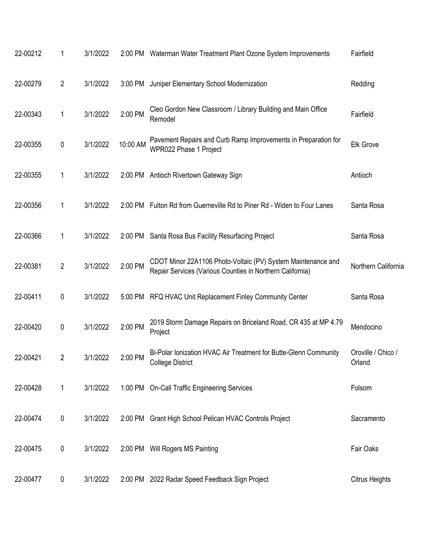| 22-00212 | 1              | 3/1/2022 |           | 2:00 PM Waterman Water Treatment Plant Ozone System Improvements                                                          | Fairfield                    |
|----------|----------------|----------|-----------|---------------------------------------------------------------------------------------------------------------------------|------------------------------|
| 22-00279 | $\overline{2}$ | 3/1/2022 | $3:00$ PM | Juniper Elementary School Modernization                                                                                   | Redding                      |
| 22-00343 | 1              | 3/1/2022 | 2:00 PM   | Cleo Gordon New Classroom / Library Building and Main Office<br>Remodel                                                   | Fairfield                    |
| 22-00355 | 0              | 3/1/2022 | 10:00 AM  | Pavement Repairs and Curb Ramp Improvements in Preparation for<br>WPR022 Phase 1 Project                                  | <b>Elk Grove</b>             |
| 22-00355 | 1              | 3/1/2022 |           | 2:00 PM Antioch Rivertown Gateway Sign                                                                                    | Antioch                      |
| 22-00356 | 1              | 3/1/2022 |           | 2:00 PM Fulton Rd from Guerneville Rd to Piner Rd - Widen to Four Lanes                                                   | Santa Rosa                   |
| 22-00366 | 1              | 3/1/2022 |           | 2:00 PM Santa Rosa Bus Facility Resurfacing Project                                                                       | Santa Rosa                   |
| 22-00381 | $\overline{2}$ | 3/1/2022 | 2:00 PM   | CDOT Minor 22A1106 Photo-Voltaic (PV) System Maintenance and<br>Repair Services (Various Counties in Northern California) | Northern California          |
| 22-00411 | 0              | 3/1/2022 |           | 5:00 PM RFQ HVAC Unit Replacement Finley Community Center                                                                 | Santa Rosa                   |
| 22-00420 | 0              | 3/1/2022 | 2:00 PM   | 2019 Storm Damage Repairs on Briceland Road, CR 435 at MP 4.79<br>Project                                                 | Mendocino                    |
| 22-00421 | $\overline{c}$ | 3/1/2022 | 2:00 PM   | Bi-Polar Ionization HVAC Air Treatment for Butte-Glenn Community<br><b>College District</b>                               | Oroville / Chico /<br>Orland |
| 22-00428 | 1              | 3/1/2022 |           | 1:00 PM On-Call Traffic Engineering Services                                                                              | Folsom                       |
| 22-00474 | 0              | 3/1/2022 |           | 2:00 PM Grant High School Pelican HVAC Controls Project                                                                   | Sacramento                   |
| 22-00475 | 0              | 3/1/2022 |           | 2:00 PM Will Rogers MS Painting                                                                                           | Fair Oaks                    |
| 22-00477 | 0              | 3/1/2022 |           | 2:00 PM 2022 Radar Speed Feedback Sign Project                                                                            | <b>Citrus Heights</b>        |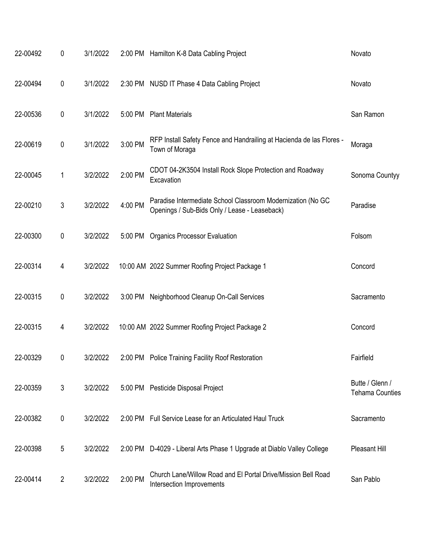| 22-00492 | 0              | 3/1/2022 |         | 2:00 PM Hamilton K-8 Data Cabling Project                                                                    | Novato                                    |
|----------|----------------|----------|---------|--------------------------------------------------------------------------------------------------------------|-------------------------------------------|
| 22-00494 | 0              | 3/1/2022 |         | 2:30 PM NUSD IT Phase 4 Data Cabling Project                                                                 | Novato                                    |
| 22-00536 | 0              | 3/1/2022 |         | 5:00 PM Plant Materials                                                                                      | San Ramon                                 |
| 22-00619 | 0              | 3/1/2022 | 3:00 PM | RFP Install Safety Fence and Handrailing at Hacienda de las Flores -<br>Town of Moraga                       | Moraga                                    |
| 22-00045 | 1              | 3/2/2022 | 2:00 PM | CDOT 04-2K3504 Install Rock Slope Protection and Roadway<br>Excavation                                       | Sonoma Countyy                            |
| 22-00210 | $\mathfrak{Z}$ | 3/2/2022 | 4:00 PM | Paradise Intermediate School Classroom Modernization (No GC<br>Openings / Sub-Bids Only / Lease - Leaseback) | Paradise                                  |
| 22-00300 | 0              | 3/2/2022 | 5:00 PM | <b>Organics Processor Evaluation</b>                                                                         | Folsom                                    |
| 22-00314 | 4              | 3/2/2022 |         | 10:00 AM 2022 Summer Roofing Project Package 1                                                               | Concord                                   |
| 22-00315 | 0              | 3/2/2022 |         | 3:00 PM Neighborhood Cleanup On-Call Services                                                                | Sacramento                                |
| 22-00315 | 4              | 3/2/2022 |         | 10:00 AM 2022 Summer Roofing Project Package 2                                                               | Concord                                   |
| 22-00329 | 0              | 3/2/2022 | 2:00 PM | <b>Police Training Facility Roof Restoration</b>                                                             | Fairfield                                 |
| 22-00359 | $\mathfrak{Z}$ | 3/2/2022 |         | 5:00 PM Pesticide Disposal Project                                                                           | Butte / Glenn /<br><b>Tehama Counties</b> |
| 22-00382 | 0              | 3/2/2022 |         | 2:00 PM Full Service Lease for an Articulated Haul Truck                                                     | Sacramento                                |
| 22-00398 | 5              | 3/2/2022 |         | 2:00 PM D-4029 - Liberal Arts Phase 1 Upgrade at Diablo Valley College                                       | Pleasant Hill                             |
| 22-00414 | $\overline{2}$ | 3/2/2022 | 2:00 PM | Church Lane/Willow Road and El Portal Drive/Mission Bell Road<br>Intersection Improvements                   | San Pablo                                 |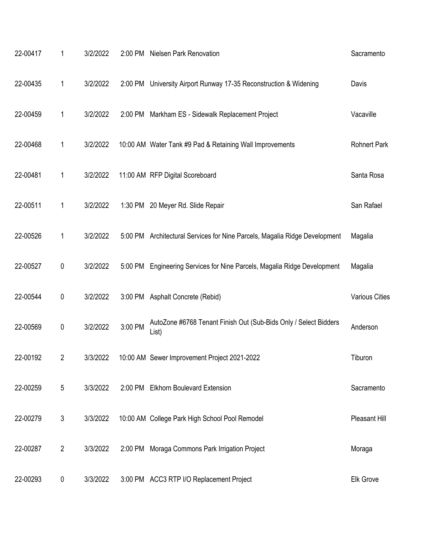| 22-00417 | 1              | 3/2/2022 |         | 2:00 PM Nielsen Park Renovation                                            | Sacramento            |
|----------|----------------|----------|---------|----------------------------------------------------------------------------|-----------------------|
| 22-00435 | 1              | 3/2/2022 |         | 2:00 PM University Airport Runway 17-35 Reconstruction & Widening          | Davis                 |
| 22-00459 | 1              | 3/2/2022 |         | 2:00 PM Markham ES - Sidewalk Replacement Project                          | Vacaville             |
| 22-00468 | 1              | 3/2/2022 |         | 10:00 AM Water Tank #9 Pad & Retaining Wall Improvements                   | <b>Rohnert Park</b>   |
| 22-00481 | 1              | 3/2/2022 |         | 11:00 AM RFP Digital Scoreboard                                            | Santa Rosa            |
| 22-00511 | 1              | 3/2/2022 |         | 1:30 PM 20 Meyer Rd. Slide Repair                                          | San Rafael            |
| 22-00526 | 1              | 3/2/2022 |         | 5:00 PM Architectural Services for Nine Parcels, Magalia Ridge Development | Magalia               |
| 22-00527 | 0              | 3/2/2022 |         | 5:00 PM Engineering Services for Nine Parcels, Magalia Ridge Development   | Magalia               |
| 22-00544 | $\pmb{0}$      | 3/2/2022 |         | 3:00 PM Asphalt Concrete (Rebid)                                           | <b>Various Cities</b> |
| 22-00569 | 0              | 3/2/2022 | 3:00 PM | AutoZone #6768 Tenant Finish Out (Sub-Bids Only / Select Bidders<br>List)  | Anderson              |
| 22-00192 | 2              | 3/3/2022 |         | 10:00 AM Sewer Improvement Project 2021-2022                               | Tiburon               |
| 22-00259 | 5              | 3/3/2022 |         | 2:00 PM Elkhorn Boulevard Extension                                        | Sacramento            |
| 22-00279 | 3              | 3/3/2022 |         | 10:00 AM College Park High School Pool Remodel                             | Pleasant Hill         |
| 22-00287 | $\overline{2}$ | 3/3/2022 |         | 2:00 PM Moraga Commons Park Irrigation Project                             | Moraga                |
| 22-00293 | 0              | 3/3/2022 |         | 3:00 PM ACC3 RTP I/O Replacement Project                                   | Elk Grove             |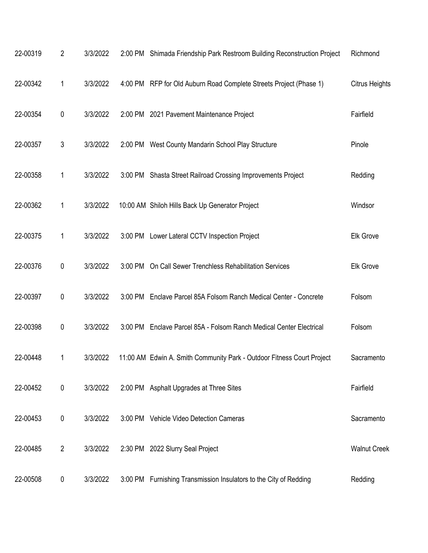| 22-00319 | $\overline{2}$ | 3/3/2022 |           | 2:00 PM Shimada Friendship Park Restroom Building Reconstruction Project | Richmond              |
|----------|----------------|----------|-----------|--------------------------------------------------------------------------|-----------------------|
| 22-00342 | 1              | 3/3/2022 |           | 4:00 PM RFP for Old Auburn Road Complete Streets Project (Phase 1)       | <b>Citrus Heights</b> |
| 22-00354 | $\pmb{0}$      | 3/3/2022 |           | 2:00 PM 2021 Pavement Maintenance Project                                | Fairfield             |
| 22-00357 | 3              | 3/3/2022 |           | 2:00 PM West County Mandarin School Play Structure                       | Pinole                |
| 22-00358 | 1              | 3/3/2022 |           | 3:00 PM Shasta Street Railroad Crossing Improvements Project             | Redding               |
| 22-00362 | 1              | 3/3/2022 |           | 10:00 AM Shiloh Hills Back Up Generator Project                          | Windsor               |
| 22-00375 | 1              | 3/3/2022 |           | 3:00 PM Lower Lateral CCTV Inspection Project                            | Elk Grove             |
| 22-00376 | $\pmb{0}$      | 3/3/2022 |           | 3:00 PM On Call Sewer Trenchless Rehabilitation Services                 | Elk Grove             |
| 22-00397 | 0              | 3/3/2022 |           | 3:00 PM Enclave Parcel 85A Folsom Ranch Medical Center - Concrete        | Folsom                |
| 22-00398 | 0              | 3/3/2022 | $3:00$ PM | Enclave Parcel 85A - Folsom Ranch Medical Center Electrical              | Folsom                |
| 22-00448 | 1              | 3/3/2022 |           | 11:00 AM Edwin A. Smith Community Park - Outdoor Fitness Court Project   | Sacramento            |
| 22-00452 | $\pmb{0}$      | 3/3/2022 |           | 2:00 PM Asphalt Upgrades at Three Sites                                  | Fairfield             |
| 22-00453 | 0              | 3/3/2022 |           | 3:00 PM Vehicle Video Detection Cameras                                  | Sacramento            |
| 22-00485 | $\overline{2}$ | 3/3/2022 |           | 2:30 PM 2022 Slurry Seal Project                                         | <b>Walnut Creek</b>   |
| 22-00508 | 0              | 3/3/2022 |           | 3:00 PM Furnishing Transmission Insulators to the City of Redding        | Redding               |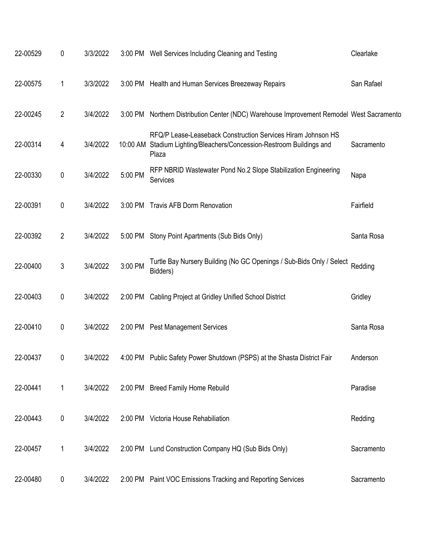| 22-00529 | 0              | 3/3/2022 |         | 3:00 PM Well Services Including Cleaning and Testing                                                                                           | Clearlake  |
|----------|----------------|----------|---------|------------------------------------------------------------------------------------------------------------------------------------------------|------------|
| 22-00575 | 1              | 3/3/2022 |         | 3:00 PM Health and Human Services Breezeway Repairs                                                                                            | San Rafael |
| 22-00245 | $\overline{2}$ | 3/4/2022 |         | 3:00 PM Northern Distribution Center (NDC) Warehouse Improvement Remodel West Sacramento                                                       |            |
| 22-00314 | 4              | 3/4/2022 |         | RFQ/P Lease-Leaseback Construction Services Hiram Johnson HS<br>10:00 AM Stadium Lighting/Bleachers/Concession-Restroom Buildings and<br>Plaza | Sacramento |
| 22-00330 | $\pmb{0}$      | 3/4/2022 | 5:00 PM | RFP NBRID Wastewater Pond No.2 Slope Stabilization Engineering<br>Services                                                                     | Napa       |
| 22-00391 | 0              | 3/4/2022 |         | 3:00 PM Travis AFB Dorm Renovation                                                                                                             | Fairfield  |
| 22-00392 | $\overline{2}$ | 3/4/2022 |         | 5:00 PM Stony Point Apartments (Sub Bids Only)                                                                                                 | Santa Rosa |
| 22-00400 | 3              | 3/4/2022 | 3:00 PM | Turtle Bay Nursery Building (No GC Openings / Sub-Bids Only / Select<br>Bidders)                                                               | Redding    |
| 22-00403 | 0              | 3/4/2022 | 2:00 PM | Cabling Project at Gridley Unified School District                                                                                             | Gridley    |
| 22-00410 | 0              | 3/4/2022 |         | 2:00 PM Pest Management Services                                                                                                               | Santa Rosa |
| 22-00437 | 0              | 3/4/2022 |         | 4:00 PM Public Safety Power Shutdown (PSPS) at the Shasta District Fair                                                                        | Anderson   |
| 22-00441 | 1              | 3/4/2022 |         | 2:00 PM Breed Family Home Rebuild                                                                                                              | Paradise   |
| 22-00443 | $\pmb{0}$      | 3/4/2022 |         | 2:00 PM Victoria House Rehabiliation                                                                                                           | Redding    |
| 22-00457 | 1              | 3/4/2022 |         | 2:00 PM Lund Construction Company HQ (Sub Bids Only)                                                                                           | Sacramento |
| 22-00480 | $\pmb{0}$      | 3/4/2022 |         | 2:00 PM Paint VOC Emissions Tracking and Reporting Services                                                                                    | Sacramento |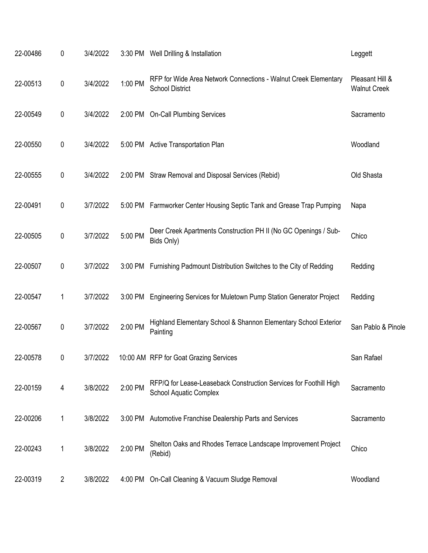| 22-00486 | 0              | 3/4/2022 |           | 3:30 PM Well Drilling & Installation                                                               | Leggett                                |
|----------|----------------|----------|-----------|----------------------------------------------------------------------------------------------------|----------------------------------------|
| 22-00513 | 0              | 3/4/2022 | 1:00 PM   | RFP for Wide Area Network Connections - Walnut Creek Elementary<br><b>School District</b>          | Pleasant Hill &<br><b>Walnut Creek</b> |
| 22-00549 | 0              | 3/4/2022 |           | 2:00 PM On-Call Plumbing Services                                                                  | Sacramento                             |
| 22-00550 | 0              | 3/4/2022 |           | 5:00 PM Active Transportation Plan                                                                 | Woodland                               |
| 22-00555 | 0              | 3/4/2022 |           | 2:00 PM Straw Removal and Disposal Services (Rebid)                                                | Old Shasta                             |
| 22-00491 | 0              | 3/7/2022 |           | 5:00 PM Farmworker Center Housing Septic Tank and Grease Trap Pumping                              | Napa                                   |
| 22-00505 | 0              | 3/7/2022 | 5:00 PM   | Deer Creek Apartments Construction PH II (No GC Openings / Sub-<br>Bids Only)                      | Chico                                  |
| 22-00507 | 0              | 3/7/2022 | $3:00$ PM | Furnishing Padmount Distribution Switches to the City of Redding                                   | Redding                                |
| 22-00547 | 1              | 3/7/2022 |           | 3:00 PM Engineering Services for Muletown Pump Station Generator Project                           | Redding                                |
| 22-00567 | 0              | 3/7/2022 | 2:00 PM   | Highland Elementary School & Shannon Elementary School Exterior<br>Painting                        | San Pablo & Pinole                     |
| 22-00578 | 0              | 3/7/2022 |           | 10:00 AM RFP for Goat Grazing Services                                                             | San Rafael                             |
| 22-00159 | 4              | 3/8/2022 | 2:00 PM   | RFP/Q for Lease-Leaseback Construction Services for Foothill High<br><b>School Aquatic Complex</b> | Sacramento                             |
| 22-00206 | 1              | 3/8/2022 |           | 3:00 PM Automotive Franchise Dealership Parts and Services                                         | Sacramento                             |
| 22-00243 | 1              | 3/8/2022 | 2:00 PM   | Shelton Oaks and Rhodes Terrace Landscape Improvement Project<br>(Rebid)                           | Chico                                  |
| 22-00319 | $\overline{2}$ | 3/8/2022 | 4:00 PM   | On-Call Cleaning & Vacuum Sludge Removal                                                           | Woodland                               |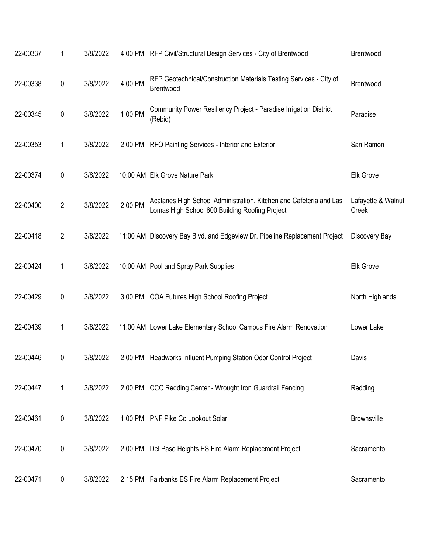| 22-00337 | 1              | 3/8/2022 |         | 4:00 PM RFP Civil/Structural Design Services - City of Brentwood                                                     | Brentwood                   |
|----------|----------------|----------|---------|----------------------------------------------------------------------------------------------------------------------|-----------------------------|
| 22-00338 | $\pmb{0}$      | 3/8/2022 | 4:00 PM | RFP Geotechnical/Construction Materials Testing Services - City of<br>Brentwood                                      | Brentwood                   |
| 22-00345 | 0              | 3/8/2022 | 1:00 PM | Community Power Resiliency Project - Paradise Irrigation District<br>(Rebid)                                         | Paradise                    |
| 22-00353 | 1              | 3/8/2022 |         | 2:00 PM RFQ Painting Services - Interior and Exterior                                                                | San Ramon                   |
| 22-00374 | 0              | 3/8/2022 |         | 10:00 AM Elk Grove Nature Park                                                                                       | Elk Grove                   |
| 22-00400 | $\overline{2}$ | 3/8/2022 | 2:00 PM | Acalanes High School Administration, Kitchen and Cafeteria and Las<br>Lomas High School 600 Building Roofing Project | Lafayette & Walnut<br>Creek |
| 22-00418 | 2              | 3/8/2022 |         | 11:00 AM Discovery Bay Blvd. and Edgeview Dr. Pipeline Replacement Project                                           | Discovery Bay               |
| 22-00424 | 1              | 3/8/2022 |         | 10:00 AM Pool and Spray Park Supplies                                                                                | Elk Grove                   |
| 22-00429 | 0              | 3/8/2022 |         | 3:00 PM COA Futures High School Roofing Project                                                                      | North Highlands             |
| 22-00439 | 1              | 3/8/2022 |         | 11:00 AM Lower Lake Elementary School Campus Fire Alarm Renovation                                                   | Lower Lake                  |
| 22-00446 | 0              | 3/8/2022 |         | 2:00 PM Headworks Influent Pumping Station Odor Control Project                                                      | Davis                       |
| 22-00447 | 1              | 3/8/2022 |         | 2:00 PM CCC Redding Center - Wrought Iron Guardrail Fencing                                                          | Redding                     |
| 22-00461 | 0              | 3/8/2022 |         | 1:00 PM PNF Pike Co Lookout Solar                                                                                    | <b>Brownsville</b>          |
| 22-00470 | $\pmb{0}$      | 3/8/2022 |         | 2:00 PM Del Paso Heights ES Fire Alarm Replacement Project                                                           | Sacramento                  |
| 22-00471 | 0              | 3/8/2022 |         | 2:15 PM Fairbanks ES Fire Alarm Replacement Project                                                                  | Sacramento                  |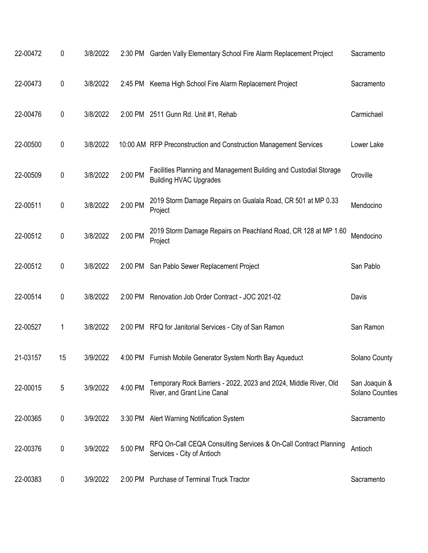| 22-00472 | 0  | 3/8/2022 |         | 2:30 PM Garden Vally Elementary School Fire Alarm Replacement Project                              | Sacramento                       |
|----------|----|----------|---------|----------------------------------------------------------------------------------------------------|----------------------------------|
| 22-00473 | 0  | 3/8/2022 | 2:45 PM | Keema High School Fire Alarm Replacement Project                                                   | Sacramento                       |
| 22-00476 | 0  | 3/8/2022 |         | 2:00 PM 2511 Gunn Rd. Unit #1, Rehab                                                               | Carmichael                       |
| 22-00500 | 0  | 3/8/2022 |         | 10:00 AM RFP Preconstruction and Construction Management Services                                  | Lower Lake                       |
| 22-00509 | 0  | 3/8/2022 | 2:00 PM | Facilities Planning and Management Building and Custodial Storage<br><b>Building HVAC Upgrades</b> | Oroville                         |
| 22-00511 | 0  | 3/8/2022 | 2:00 PM | 2019 Storm Damage Repairs on Gualala Road, CR 501 at MP 0.33<br>Project                            | Mendocino                        |
| 22-00512 | 0  | 3/8/2022 | 2:00 PM | 2019 Storm Damage Repairs on Peachland Road, CR 128 at MP 1.60<br>Project                          | Mendocino                        |
| 22-00512 | 0  | 3/8/2022 | 2:00 PM | San Pablo Sewer Replacement Project                                                                | San Pablo                        |
| 22-00514 | 0  | 3/8/2022 | 2:00 PM | Renovation Job Order Contract - JOC 2021-02                                                        | Davis                            |
| 22-00527 | 1  | 3/8/2022 |         | 2:00 PM RFQ for Janitorial Services - City of San Ramon                                            | San Ramon                        |
| 21-03157 | 15 | 3/9/2022 | 4:00 PM | Furnish Mobile Generator System North Bay Aqueduct                                                 | Solano County                    |
| 22-00015 | 5  | 3/9/2022 | 4:00 PM | Temporary Rock Barriers - 2022, 2023 and 2024, Middle River, Old<br>River, and Grant Line Canal    | San Joaquin &<br>Solano Counties |
| 22-00365 | 0  | 3/9/2022 | 3:30 PM | <b>Alert Warning Notification System</b>                                                           | Sacramento                       |
| 22-00376 | 0  | 3/9/2022 | 5:00 PM | RFQ On-Call CEQA Consulting Services & On-Call Contract Planning<br>Services - City of Antioch     | Antioch                          |
| 22-00383 | 0  | 3/9/2022 | 2:00 PM | <b>Purchase of Terminal Truck Tractor</b>                                                          | Sacramento                       |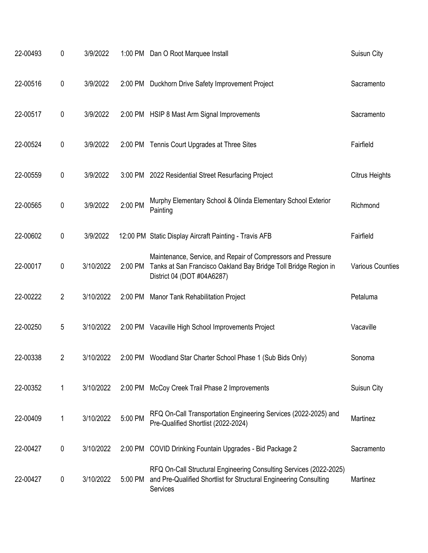| 22-00493 | 0              | 3/9/2022  |           | 1:00 PM Dan O Root Marquee Install                                                                                                                            | Suisun City             |
|----------|----------------|-----------|-----------|---------------------------------------------------------------------------------------------------------------------------------------------------------------|-------------------------|
| 22-00516 | 0              | 3/9/2022  |           | 2:00 PM Duckhorn Drive Safety Improvement Project                                                                                                             | Sacramento              |
| 22-00517 | 0              | 3/9/2022  |           | 2:00 PM HSIP 8 Mast Arm Signal Improvements                                                                                                                   | Sacramento              |
| 22-00524 | 0              | 3/9/2022  |           | 2:00 PM Tennis Court Upgrades at Three Sites                                                                                                                  | Fairfield               |
| 22-00559 | 0              | 3/9/2022  | $3:00$ PM | 2022 Residential Street Resurfacing Project                                                                                                                   | Citrus Heights          |
| 22-00565 | $\pmb{0}$      | 3/9/2022  | 2:00 PM   | Murphy Elementary School & Olinda Elementary School Exterior<br>Painting                                                                                      | Richmond                |
| 22-00602 | 0              | 3/9/2022  |           | 12:00 PM Static Display Aircraft Painting - Travis AFB                                                                                                        | Fairfield               |
| 22-00017 | 0              | 3/10/2022 | 2:00 PM   | Maintenance, Service, and Repair of Compressors and Pressure<br>Tanks at San Francisco Oakland Bay Bridge Toll Bridge Region in<br>District 04 (DOT #04A6287) | <b>Various Counties</b> |
| 22-00222 | $\overline{2}$ | 3/10/2022 | 2:00 PM   | <b>Manor Tank Rehabilitation Project</b>                                                                                                                      | Petaluma                |
| 22-00250 | 5              | 3/10/2022 |           | 2:00 PM Vacaville High School Improvements Project                                                                                                            | Vacaville               |
| 22-00338 | 2              | 3/10/2022 |           | 2:00 PM Woodland Star Charter School Phase 1 (Sub Bids Only)                                                                                                  | Sonoma                  |
| 22-00352 | 1              | 3/10/2022 |           | 2:00 PM McCoy Creek Trail Phase 2 Improvements                                                                                                                | Suisun City             |
| 22-00409 | 1              | 3/10/2022 | 5:00 PM   | RFQ On-Call Transportation Engineering Services (2022-2025) and<br>Pre-Qualified Shortlist (2022-2024)                                                        | Martinez                |
| 22-00427 | 0              | 3/10/2022 |           | 2:00 PM COVID Drinking Fountain Upgrades - Bid Package 2                                                                                                      | Sacramento              |
| 22-00427 | 0              | 3/10/2022 | 5:00 PM   | RFQ On-Call Structural Engineering Consulting Services (2022-2025)<br>and Pre-Qualified Shortlist for Structural Engineering Consulting<br>Services           | Martinez                |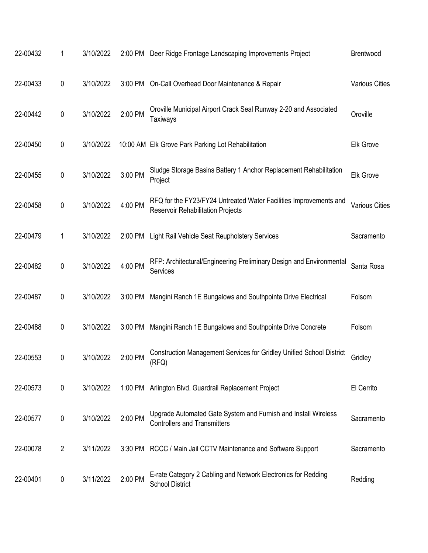| 22-00432 | 1              | 3/10/2022 |           | 2:00 PM Deer Ridge Frontage Landscaping Improvements Project                                                  | Brentwood             |
|----------|----------------|-----------|-----------|---------------------------------------------------------------------------------------------------------------|-----------------------|
| 22-00433 | 0              | 3/10/2022 | 3:00 PM   | On-Call Overhead Door Maintenance & Repair                                                                    | <b>Various Cities</b> |
| 22-00442 | $\pmb{0}$      | 3/10/2022 | 2:00 PM   | Oroville Municipal Airport Crack Seal Runway 2-20 and Associated<br>Taxiways                                  | Oroville              |
| 22-00450 | 0              | 3/10/2022 |           | 10:00 AM Elk Grove Park Parking Lot Rehabilitation                                                            | <b>Elk Grove</b>      |
| 22-00455 | 0              | 3/10/2022 | 3:00 PM   | Sludge Storage Basins Battery 1 Anchor Replacement Rehabilitation<br>Project                                  | <b>Elk Grove</b>      |
| 22-00458 | 0              | 3/10/2022 | 4:00 PM   | RFQ for the FY23/FY24 Untreated Water Facilities Improvements and<br><b>Reservoir Rehabilitation Projects</b> | <b>Various Cities</b> |
| 22-00479 | 1              | 3/10/2022 | 2:00 PM   | Light Rail Vehicle Seat Reupholstery Services                                                                 | Sacramento            |
| 22-00482 | $\pmb{0}$      | 3/10/2022 | 4:00 PM   | RFP: Architectural/Engineering Preliminary Design and Environmental<br>Services                               | Santa Rosa            |
| 22-00487 | 0              | 3/10/2022 | 3:00 PM   | Mangini Ranch 1E Bungalows and Southpointe Drive Electrical                                                   | Folsom                |
| 22-00488 | 0              | 3/10/2022 | $3:00$ PM | Mangini Ranch 1E Bungalows and Southpointe Drive Concrete                                                     | Folsom                |
| 22-00553 | 0              | 3/10/2022 | 2:00 PM   | Construction Management Services for Gridley Unified School District<br>(RFQ)                                 | Gridley               |
| 22-00573 | 0              | 3/10/2022 |           | 1:00 PM Arlington Blvd. Guardrail Replacement Project                                                         | El Cerrito            |
| 22-00577 | 0              | 3/10/2022 | 2:00 PM   | Upgrade Automated Gate System and Furnish and Install Wireless<br><b>Controllers and Transmitters</b>         | Sacramento            |
| 22-00078 | $\overline{2}$ | 3/11/2022 |           | 3:30 PM RCCC / Main Jail CCTV Maintenance and Software Support                                                | Sacramento            |
| 22-00401 | 0              | 3/11/2022 | 2:00 PM   | E-rate Category 2 Cabling and Network Electronics for Redding<br><b>School District</b>                       | Redding               |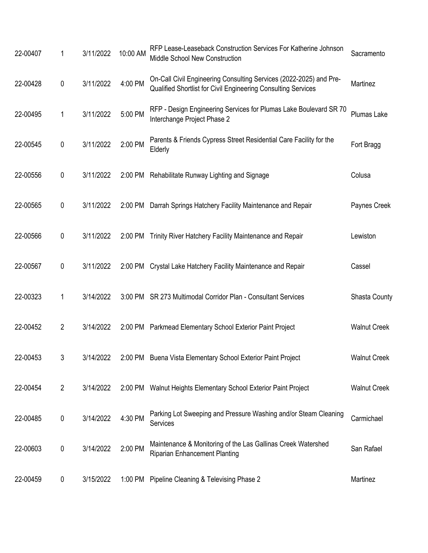| 22-00407 | 1              | 3/11/2022 | 10:00 AM | RFP Lease-Leaseback Construction Services For Katherine Johnson<br>Middle School New Construction                                   | Sacramento          |
|----------|----------------|-----------|----------|-------------------------------------------------------------------------------------------------------------------------------------|---------------------|
| 22-00428 | 0              | 3/11/2022 | 4:00 PM  | On-Call Civil Engineering Consulting Services (2022-2025) and Pre-<br>Qualified Shortlist for Civil Engineering Consulting Services | Martinez            |
| 22-00495 | 1              | 3/11/2022 | 5:00 PM  | RFP - Design Engineering Services for Plumas Lake Boulevard SR 70<br>Interchange Project Phase 2                                    | Plumas Lake         |
| 22-00545 | 0              | 3/11/2022 | 2:00 PM  | Parents & Friends Cypress Street Residential Care Facility for the<br>Elderly                                                       | Fort Bragg          |
| 22-00556 | 0              | 3/11/2022 | 2:00 PM  | Rehabilitate Runway Lighting and Signage                                                                                            | Colusa              |
| 22-00565 | 0              | 3/11/2022 | 2:00 PM  | Darrah Springs Hatchery Facility Maintenance and Repair                                                                             | Paynes Creek        |
| 22-00566 | 0              | 3/11/2022 | 2:00 PM  | Trinity River Hatchery Facility Maintenance and Repair                                                                              | Lewiston            |
| 22-00567 | 0              | 3/11/2022 | 2:00 PM  | Crystal Lake Hatchery Facility Maintenance and Repair                                                                               | Cassel              |
| 22-00323 | 1              | 3/14/2022 | 3:00 PM  | SR 273 Multimodal Corridor Plan - Consultant Services                                                                               | Shasta County       |
| 22-00452 | $\overline{2}$ | 3/14/2022 |          | 2:00 PM Parkmead Elementary School Exterior Paint Project                                                                           | <b>Walnut Creek</b> |
| 22-00453 | 3              | 3/14/2022 |          | 2:00 PM Buena Vista Elementary School Exterior Paint Project                                                                        | <b>Walnut Creek</b> |
| 22-00454 | $\overline{2}$ | 3/14/2022 |          | 2:00 PM Walnut Heights Elementary School Exterior Paint Project                                                                     | <b>Walnut Creek</b> |
| 22-00485 | 0              | 3/14/2022 | 4:30 PM  | Parking Lot Sweeping and Pressure Washing and/or Steam Cleaning<br>Services                                                         | Carmichael          |
| 22-00603 | 0              | 3/14/2022 | 2:00 PM  | Maintenance & Monitoring of the Las Gallinas Creek Watershed<br><b>Riparian Enhancement Planting</b>                                | San Rafael          |
| 22-00459 | 0              | 3/15/2022 | 1:00 PM  | Pipeline Cleaning & Televising Phase 2                                                                                              | Martinez            |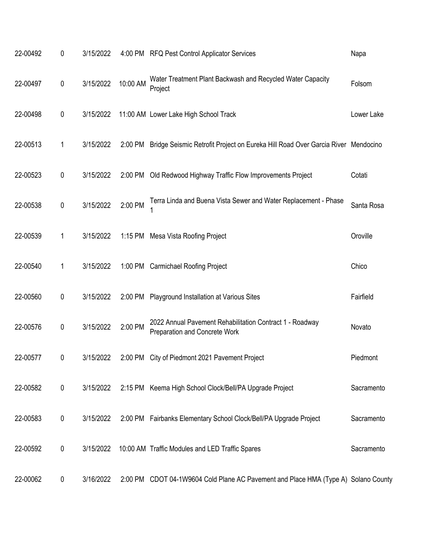| 22-00492 | 0         | 3/15/2022 |          | 4:00 PM RFQ Pest Control Applicator Services                                                     | Napa       |
|----------|-----------|-----------|----------|--------------------------------------------------------------------------------------------------|------------|
| 22-00497 | $\pmb{0}$ | 3/15/2022 | 10:00 AM | Water Treatment Plant Backwash and Recycled Water Capacity<br>Project                            | Folsom     |
| 22-00498 | 0         | 3/15/2022 |          | 11:00 AM Lower Lake High School Track                                                            | Lower Lake |
| 22-00513 | 1         | 3/15/2022 | 2:00 PM  | Bridge Seismic Retrofit Project on Eureka Hill Road Over Garcia River Mendocino                  |            |
| 22-00523 | 0         | 3/15/2022 | 2:00 PM  | Old Redwood Highway Traffic Flow Improvements Project                                            | Cotati     |
| 22-00538 | $\pmb{0}$ | 3/15/2022 | 2:00 PM  | Terra Linda and Buena Vista Sewer and Water Replacement - Phase                                  | Santa Rosa |
| 22-00539 | 1         | 3/15/2022 |          | 1:15 PM Mesa Vista Roofing Project                                                               | Oroville   |
| 22-00540 | 1         | 3/15/2022 | 1:00 PM  | <b>Carmichael Roofing Project</b>                                                                | Chico      |
| 22-00560 | 0         | 3/15/2022 | 2:00 PM  | Playground Installation at Various Sites                                                         | Fairfield  |
| 22-00576 | $\pmb{0}$ | 3/15/2022 | 2:00 PM  | 2022 Annual Pavement Rehabilitation Contract 1 - Roadway<br><b>Preparation and Concrete Work</b> | Novato     |
| 22-00577 | 0         | 3/15/2022 | 2:00 PM  | City of Piedmont 2021 Pavement Project                                                           | Piedmont   |
| 22-00582 | $\pmb{0}$ | 3/15/2022 |          | 2:15 PM Keema High School Clock/Bell/PA Upgrade Project                                          | Sacramento |
| 22-00583 | 0         | 3/15/2022 |          | 2:00 PM Fairbanks Elementary School Clock/Bell/PA Upgrade Project                                | Sacramento |
| 22-00592 | $\pmb{0}$ | 3/15/2022 |          | 10:00 AM Traffic Modules and LED Traffic Spares                                                  | Sacramento |
| 22-00062 | 0         | 3/16/2022 |          | 2:00 PM CDOT 04-1W9604 Cold Plane AC Pavement and Place HMA (Type A) Solano County               |            |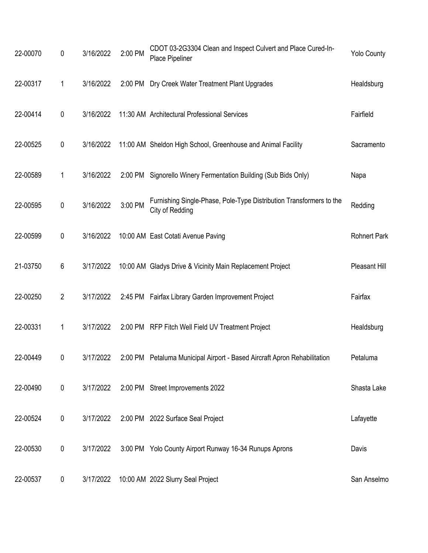| 22-00070 | 0              | 3/16/2022 | 2:00 PM | CDOT 03-2G3304 Clean and Inspect Culvert and Place Cured-In-<br>Place Pipeliner        | <b>Yolo County</b>  |
|----------|----------------|-----------|---------|----------------------------------------------------------------------------------------|---------------------|
| 22-00317 | 1              | 3/16/2022 |         | 2:00 PM Dry Creek Water Treatment Plant Upgrades                                       | Healdsburg          |
| 22-00414 | 0              | 3/16/2022 |         | 11:30 AM Architectural Professional Services                                           | Fairfield           |
| 22-00525 | 0              | 3/16/2022 |         | 11:00 AM Sheldon High School, Greenhouse and Animal Facility                           | Sacramento          |
| 22-00589 | 1              | 3/16/2022 |         | 2:00 PM Signorello Winery Fermentation Building (Sub Bids Only)                        | Napa                |
| 22-00595 | 0              | 3/16/2022 | 3:00 PM | Furnishing Single-Phase, Pole-Type Distribution Transformers to the<br>City of Redding | Redding             |
| 22-00599 | 0              | 3/16/2022 |         | 10:00 AM East Cotati Avenue Paving                                                     | <b>Rohnert Park</b> |
| 21-03750 | 6              | 3/17/2022 |         | 10:00 AM Gladys Drive & Vicinity Main Replacement Project                              | Pleasant Hill       |
| 22-00250 | $\overline{2}$ | 3/17/2022 |         | 2:45 PM Fairfax Library Garden Improvement Project                                     | Fairfax             |
| 22-00331 | 1              | 3/17/2022 |         | 2:00 PM RFP Fitch Well Field UV Treatment Project                                      | Healdsburg          |
| 22-00449 | 0              | 3/17/2022 |         | 2:00 PM Petaluma Municipal Airport - Based Aircraft Apron Rehabilitation               | Petaluma            |
| 22-00490 | 0              | 3/17/2022 |         | 2:00 PM Street Improvements 2022                                                       | Shasta Lake         |
| 22-00524 | 0              | 3/17/2022 |         | 2:00 PM 2022 Surface Seal Project                                                      | Lafayette           |
| 22-00530 | 0              | 3/17/2022 |         | 3:00 PM Yolo County Airport Runway 16-34 Runups Aprons                                 | Davis               |
| 22-00537 | 0              | 3/17/2022 |         | 10:00 AM 2022 Slurry Seal Project                                                      | San Anselmo         |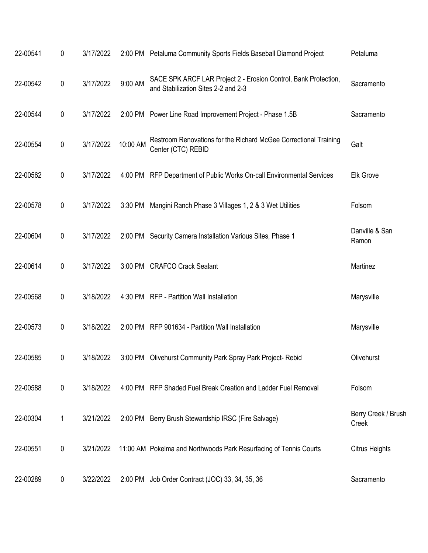| 22-00541 | 0         | 3/17/2022 |          | 2:00 PM Petaluma Community Sports Fields Baseball Diamond Project                                      | Petaluma                     |
|----------|-----------|-----------|----------|--------------------------------------------------------------------------------------------------------|------------------------------|
| 22-00542 | 0         | 3/17/2022 | 9:00 AM  | SACE SPK ARCF LAR Project 2 - Erosion Control, Bank Protection,<br>and Stabilization Sites 2-2 and 2-3 | Sacramento                   |
| 22-00544 | $\pmb{0}$ | 3/17/2022 |          | 2:00 PM Power Line Road Improvement Project - Phase 1.5B                                               | Sacramento                   |
| 22-00554 | 0         | 3/17/2022 | 10:00 AM | Restroom Renovations for the Richard McGee Correctional Training<br>Center (CTC) REBID                 | Galt                         |
| 22-00562 | 0         | 3/17/2022 |          | 4:00 PM RFP Department of Public Works On-call Environmental Services                                  | <b>Elk Grove</b>             |
| 22-00578 | 0         | 3/17/2022 |          | 3:30 PM Mangini Ranch Phase 3 Villages 1, 2 & 3 Wet Utilities                                          | Folsom                       |
| 22-00604 | $\pmb{0}$ | 3/17/2022 |          | 2:00 PM Security Camera Installation Various Sites, Phase 1                                            | Danville & San<br>Ramon      |
| 22-00614 | 0         | 3/17/2022 |          | 3:00 PM CRAFCO Crack Sealant                                                                           | Martinez                     |
| 22-00568 | 0         | 3/18/2022 |          | 4:30 PM RFP - Partition Wall Installation                                                              | Marysville                   |
| 22-00573 | 0         | 3/18/2022 |          | 2:00 PM RFP 901634 - Partition Wall Installation                                                       | Marysville                   |
| 22-00585 | 0         | 3/18/2022 |          | 3:00 PM Olivehurst Community Park Spray Park Project-Rebid                                             | Olivehurst                   |
| 22-00588 | 0         | 3/18/2022 |          | 4:00 PM RFP Shaded Fuel Break Creation and Ladder Fuel Removal                                         | Folsom                       |
| 22-00304 | 1         | 3/21/2022 |          | 2:00 PM Berry Brush Stewardship IRSC (Fire Salvage)                                                    | Berry Creek / Brush<br>Creek |
| 22-00551 | $\pmb{0}$ | 3/21/2022 |          | 11:00 AM Pokelma and Northwoods Park Resurfacing of Tennis Courts                                      | <b>Citrus Heights</b>        |
| 22-00289 | 0         | 3/22/2022 |          | 2:00 PM Job Order Contract (JOC) 33, 34, 35, 36                                                        | Sacramento                   |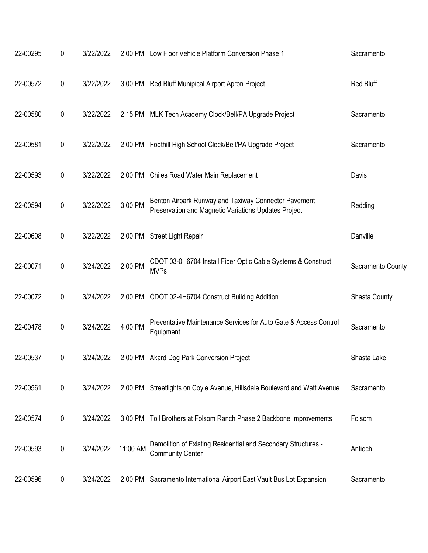| 22-00295 | 0                | 3/22/2022 |          | 2:00 PM Low Floor Vehicle Platform Conversion Phase 1                                                        | Sacramento        |
|----------|------------------|-----------|----------|--------------------------------------------------------------------------------------------------------------|-------------------|
| 22-00572 | 0                | 3/22/2022 |          | 3:00 PM Red Bluff Munipical Airport Apron Project                                                            | <b>Red Bluff</b>  |
| 22-00580 | $\pmb{0}$        | 3/22/2022 |          | 2:15 PM MLK Tech Academy Clock/Bell/PA Upgrade Project                                                       | Sacramento        |
| 22-00581 | $\boldsymbol{0}$ | 3/22/2022 |          | 2:00 PM Foothill High School Clock/Bell/PA Upgrade Project                                                   | Sacramento        |
| 22-00593 | 0                | 3/22/2022 | 2:00 PM  | Chiles Road Water Main Replacement                                                                           | Davis             |
| 22-00594 | $\pmb{0}$        | 3/22/2022 | 3:00 PM  | Benton Airpark Runway and Taxiway Connector Pavement<br>Preservation and Magnetic Variations Updates Project | Redding           |
| 22-00608 | $\boldsymbol{0}$ | 3/22/2022 | 2:00 PM  | <b>Street Light Repair</b>                                                                                   | Danville          |
| 22-00071 | $\pmb{0}$        | 3/24/2022 | 2:00 PM  | CDOT 03-0H6704 Install Fiber Optic Cable Systems & Construct<br><b>MVPs</b>                                  | Sacramento County |
| 22-00072 | 0                | 3/24/2022 |          | 2:00 PM CDOT 02-4H6704 Construct Building Addition                                                           | Shasta County     |
| 22-00478 | 0                | 3/24/2022 | 4:00 PM  | Preventative Maintenance Services for Auto Gate & Access Control<br>Equipment                                | Sacramento        |
| 22-00537 | 0                | 3/24/2022 |          | 2:00 PM Akard Dog Park Conversion Project                                                                    | Shasta Lake       |
| 22-00561 | $\pmb{0}$        | 3/24/2022 |          | 2:00 PM Streetlights on Coyle Avenue, Hillsdale Boulevard and Watt Avenue                                    | Sacramento        |
| 22-00574 | $\pmb{0}$        | 3/24/2022 | 3:00 PM  | Toll Brothers at Folsom Ranch Phase 2 Backbone Improvements                                                  | Folsom            |
| 22-00593 | $\pmb{0}$        | 3/24/2022 | 11:00 AM | Demolition of Existing Residential and Secondary Structures -<br><b>Community Center</b>                     | Antioch           |
| 22-00596 | 0                | 3/24/2022 | 2:00 PM  | Sacramento International Airport East Vault Bus Lot Expansion                                                | Sacramento        |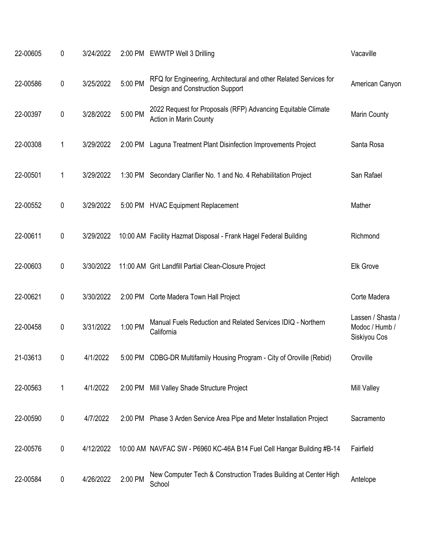| 22-00605 | 0         | 3/24/2022 |         | 2:00 PM EWWTP Well 3 Drilling                                                                        | Vacaville                                           |
|----------|-----------|-----------|---------|------------------------------------------------------------------------------------------------------|-----------------------------------------------------|
| 22-00586 | $\pmb{0}$ | 3/25/2022 | 5:00 PM | RFQ for Engineering, Architectural and other Related Services for<br>Design and Construction Support | American Canyon                                     |
| 22-00397 | $\pmb{0}$ | 3/28/2022 | 5:00 PM | 2022 Request for Proposals (RFP) Advancing Equitable Climate<br>Action in Marin County               | Marin County                                        |
| 22-00308 | 1         | 3/29/2022 | 2:00 PM | Laguna Treatment Plant Disinfection Improvements Project                                             | Santa Rosa                                          |
| 22-00501 | 1         | 3/29/2022 |         | 1:30 PM Secondary Clarifier No. 1 and No. 4 Rehabilitation Project                                   | San Rafael                                          |
| 22-00552 | $\pmb{0}$ | 3/29/2022 |         | 5:00 PM HVAC Equipment Replacement                                                                   | Mather                                              |
| 22-00611 | $\pmb{0}$ | 3/29/2022 |         | 10:00 AM Facility Hazmat Disposal - Frank Hagel Federal Building                                     | Richmond                                            |
| 22-00603 | $\pmb{0}$ | 3/30/2022 |         | 11:00 AM Grit Landfill Partial Clean-Closure Project                                                 | <b>Elk Grove</b>                                    |
| 22-00621 | $\pmb{0}$ | 3/30/2022 |         | 2:00 PM Corte Madera Town Hall Project                                                               | Corte Madera                                        |
| 22-00458 | $\pmb{0}$ | 3/31/2022 | 1:00 PM | Manual Fuels Reduction and Related Services IDIQ - Northern<br>California                            | Lassen / Shasta /<br>Modoc / Humb /<br>Siskiyou Cos |
| 21-03613 | 0         | 4/1/2022  | 5:00 PM | CDBG-DR Multifamily Housing Program - City of Oroville (Rebid)                                       | Oroville                                            |
| 22-00563 | 1         | 4/1/2022  |         | 2:00 PM Mill Valley Shade Structure Project                                                          | <b>Mill Valley</b>                                  |
| 22-00590 | $\pmb{0}$ | 4/7/2022  |         | 2:00 PM Phase 3 Arden Service Area Pipe and Meter Installation Project                               | Sacramento                                          |
| 22-00576 | $\pmb{0}$ | 4/12/2022 |         | 10:00 AM NAVFAC SW - P6960 KC-46A B14 Fuel Cell Hangar Building #B-14                                | Fairfield                                           |
| 22-00584 | 0         | 4/26/2022 | 2:00 PM | New Computer Tech & Construction Trades Building at Center High<br>School                            | Antelope                                            |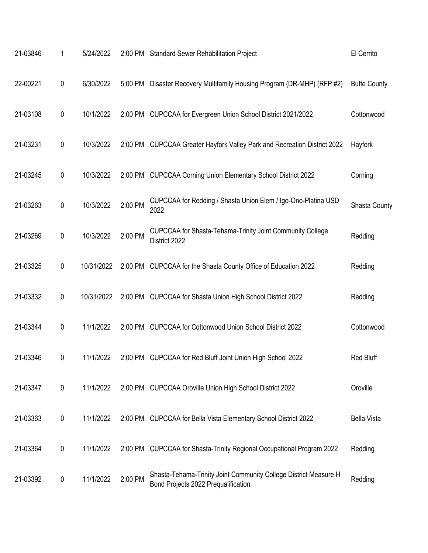| 21-03846 | 1                | 5/24/2022  |         | 2:00 PM Standard Sewer Rehabilitation Project                                                           | El Cerrito          |
|----------|------------------|------------|---------|---------------------------------------------------------------------------------------------------------|---------------------|
| 22-00221 | $\pmb{0}$        | 6/30/2022  | 5:00 PM | Disaster Recovery Multifamily Housing Program (DR-MHP) (RFP #2)                                         | <b>Butte County</b> |
| 21-03108 | 0                | 10/1/2022  |         | 2:00 PM CUPCCAA for Evergreen Union School District 2021/2022                                           | Cottonwood          |
| 21-03231 | $\pmb{0}$        | 10/3/2022  |         | 2:00 PM CUPCCAA Greater Hayfork Valley Park and Recreation District 2022                                | Hayfork             |
| 21-03245 | $\boldsymbol{0}$ | 10/3/2022  | 2:00 PM | <b>CUPCCAA Corning Union Elementary School District 2022</b>                                            | Corning             |
| 21-03263 | $\pmb{0}$        | 10/3/2022  | 2:00 PM | CUPCCAA for Redding / Shasta Union Elem / Igo-Ono-Platina USD<br>2022                                   | Shasta County       |
| 21-03269 | $\pmb{0}$        | 10/3/2022  | 2:00 PM | CUPCCAA for Shasta-Tehama-Trinity Joint Community College<br>District 2022                              | Redding             |
| 21-03325 | $\pmb{0}$        | 10/31/2022 |         | 2:00 PM CUPCCAA for the Shasta County Office of Education 2022                                          | Redding             |
| 21-03332 | 0                | 10/31/2022 |         | 2:00 PM CUPCCAA for Shasta Union High School District 2022                                              | Redding             |
| 21-03344 | $\pmb{0}$        | 11/1/2022  | 2:00 PM | CUPCCAA for Cottonwood Union School District 2022                                                       | Cottonwood          |
| 21-03346 | 0                | 11/1/2022  | 2:00 PM | CUPCCAA for Red Bluff Joint Union High School 2022                                                      | <b>Red Bluff</b>    |
| 21-03347 | $\pmb{0}$        | 11/1/2022  |         | 2:00 PM CUPCCAA Oroville Union High School District 2022                                                | Oroville            |
| 21-03363 | 0                | 11/1/2022  |         | 2:00 PM CUPCCAA for Bella Vista Elementary School District 2022                                         | <b>Bella Vista</b>  |
| 21-03364 | 0                | 11/1/2022  | 2:00 PM | CUPCCAA for Shasta-Trinity Regional Occupational Program 2022                                           | Redding             |
| 21-03392 | $\boldsymbol{0}$ | 11/1/2022  | 2:00 PM | Shasta-Tehama-Trinity Joint Community College District Measure H<br>Bond Projects 2022 Prequalification | Redding             |